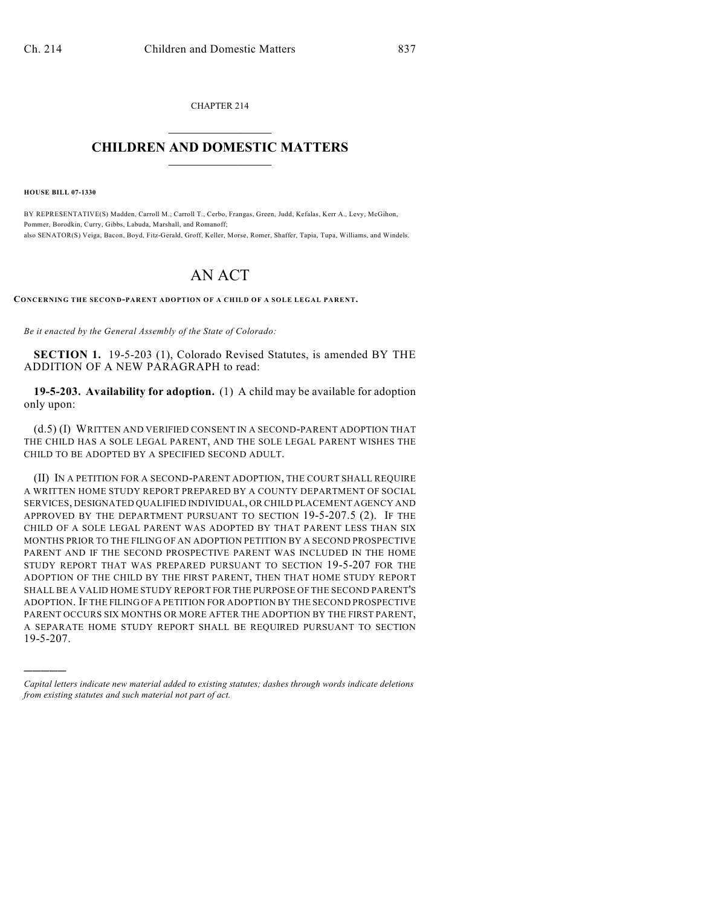CHAPTER 214  $\overline{\phantom{a}}$  . The set of the set of the set of the set of the set of the set of the set of the set of the set of the set of the set of the set of the set of the set of the set of the set of the set of the set of the set o

## **CHILDREN AND DOMESTIC MATTERS**  $\_$

**HOUSE BILL 07-1330**

)))))

BY REPRESENTATIVE(S) Madden, Carroll M., Carroll T., Cerbo, Frangas, Green, Judd, Kefalas, Kerr A., Levy, McGihon, Pommer, Borodkin, Curry, Gibbs, Labuda, Marshall, and Romanoff; also SENATOR(S) Veiga, Bacon, Boyd, Fitz-Gerald, Groff, Keller, Morse, Romer, Shaffer, Tapia, Tupa, Williams, and Windels.

## AN ACT

**CONCERNING THE SECOND-PARENT ADOPTION OF A CHILD OF A SOLE LEGAL PARENT.**

*Be it enacted by the General Assembly of the State of Colorado:*

**SECTION 1.** 19-5-203 (1), Colorado Revised Statutes, is amended BY THE ADDITION OF A NEW PARAGRAPH to read:

**19-5-203. Availability for adoption.** (1) A child may be available for adoption only upon:

(d.5) (I) WRITTEN AND VERIFIED CONSENT IN A SECOND-PARENT ADOPTION THAT THE CHILD HAS A SOLE LEGAL PARENT, AND THE SOLE LEGAL PARENT WISHES THE CHILD TO BE ADOPTED BY A SPECIFIED SECOND ADULT.

(II) IN A PETITION FOR A SECOND-PARENT ADOPTION, THE COURT SHALL REQUIRE A WRITTEN HOME STUDY REPORT PREPARED BY A COUNTY DEPARTMENT OF SOCIAL SERVICES, DESIGNATED QUALIFIED INDIVIDUAL, OR CHILD PLACEMENT AGENCY AND APPROVED BY THE DEPARTMENT PURSUANT TO SECTION 19-5-207.5 (2). IF THE CHILD OF A SOLE LEGAL PARENT WAS ADOPTED BY THAT PARENT LESS THAN SIX MONTHS PRIOR TO THE FILING OF AN ADOPTION PETITION BY A SECOND PROSPECTIVE PARENT AND IF THE SECOND PROSPECTIVE PARENT WAS INCLUDED IN THE HOME STUDY REPORT THAT WAS PREPARED PURSUANT TO SECTION 19-5-207 FOR THE ADOPTION OF THE CHILD BY THE FIRST PARENT, THEN THAT HOME STUDY REPORT SHALL BE A VALID HOME STUDY REPORT FOR THE PURPOSE OF THE SECOND PARENT'S ADOPTION. IF THE FILING OF A PETITION FOR ADOPTION BY THE SECOND PROSPECTIVE PARENT OCCURS SIX MONTHS OR MORE AFTER THE ADOPTION BY THE FIRST PARENT, A SEPARATE HOME STUDY REPORT SHALL BE REQUIRED PURSUANT TO SECTION 19-5-207.

*Capital letters indicate new material added to existing statutes; dashes through words indicate deletions from existing statutes and such material not part of act.*